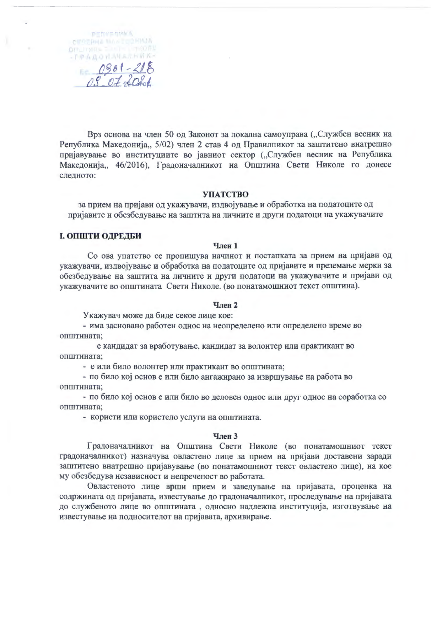PENVERMICA CEREPHA MAREGORMJA **OTILITYRYA ELISTIN** -TPAAOHAHAAHAK- $0901 - 218$ 

Врз основа на член 50 од Законот за локална самоуправа ("Службен весник на Република Македонија,, 5/02) член 2 став 4 од Правилникот за заштитено внатрешно пријавување во институциите во јавниот сектор ("Службен весник на Република Македонија,, 46/2016), Градоначалникот на Општина Свети Николе го донесе следното:

#### **УПАТСТВО**

за прием на пријави од укажувачи, издвојување и обработка на податоците од пријавите и обезбедување на заштита на личните и други податоци на укажувачите

# І. ОПШТИ ОДРЕДБИ

# **Член 1**

Со ова упатство се пропишува начинот и постапката за прием на пријави од укажувачи, издвојување и обработка на податоците од пријавите и преземање мерки за обезбедување на заштита на личните и други податоци на укажувачите и пријави од укажувачите во општината Свети Николе. (во понатамошниот текст општина).

### **Член 2**

Укажувач може да биде секое лице кое:

- има засновано работен однос на неопределено или определено време во општината;

е кандидат за вработување, кандидат за волонтер или практикант во општината;

- е или било волонтер или практикант во општината;

- по било кој основ е или било ангажирано за извршување на работа во општината:

- по било кој основ е или било во деловен однос или друг однос на соработка со општината;

- користи или користело услуги на општината.

#### Член 3

Градоначалникот на Општина Свети Николе (во понатамошниот текст градоначалникот) назначува овластено лице за прием на пријави доставени заради заштитено внатрешно пријавување (во понатамошниот текст овластено лице), на кое му обезбедува независност и непреченост во работата.

Овластеното лице врши прием и заведување на пријавата, проценка на содржината од пријавата, известување до градоначалникот, проследување на пријавата до службеното лице во општината, односно надлежна институција, изготвување на известување на подносителот на пријавата, архивирање.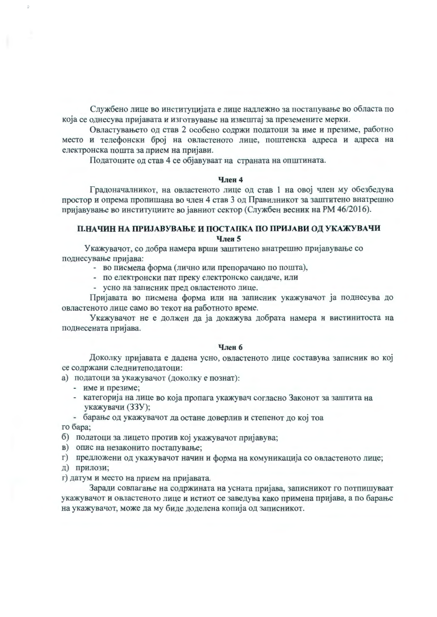Службено лице во институцијата е лице надлежно за постапување во областа по која се однесува пријавата и изготвување на извештај за преземените мерки.

Овластувањето од став 2 особено содржи податоци за име и презиме, работно место и телефонски број на овластеното лице, поштенска адреса и адреса на електронска пошта за прием на пријави.

Податоците од став 4 се објавуваат на страната на општината.

#### **Член 4**

Градоначалникот, на овластеното лице од став 1 на овој член му обезбедува простор и опрема пропишана во член 4 став 3 од Правилникот за заштитено внатрешно пријавување во институциите во јавниот сектор (Службен весник на РМ 46/2016).

# П.НАЧИН НА ПРИЈАВУВАЊЕ И ПОСТАПКА ПО ПРИЈАВИ ОД УКАЖУВАЧИ Член 5

Укажувачот, со добра намера врши заштитено внатрешно пријавување со поднесување пријава:

- во писмена форма (лично или препорачано по пошта),

- по електронски пат преку електронско сандаче, или
- усно на записник пред овластеното лице.

Пријавата во писмена форма или на записник укажувачот ја поднесува до овластеното лице само во текот на работното време.

Укажувачот не е должен да ја докажува добрата намера и вистинитоста на поднесената пријава.

# Член 6

Доколку пријавата е дадена усно, овластеното лице составува записник во кој се содржани следнитеподатоци:

а) податоци за укажувачот (доколку е познат):

- име и презиме;
- категорија на лице во која пропага укажувач согласно Законот за заштита на укажувачи (ЗЗУ);
- барање од укажувачот да остане доверлив и степенот до кој тоа

го бара;

- б) податоци за лицето против кој укажувачот пријавува;
- в) опис на незаконито постапување:
- г) предложени од укажувачот начин и форма на комуникација со овластеното лице;
- д) прилози;

г) датум и место на прием на пријавата.

Заради совпагање на содржината на усната пријава, записникот го потпишуваат укажувачот и овластеното лице и истиот се заведува како примена пријава, а по барање на укажувачот, може да му биде доделена копија од записникот.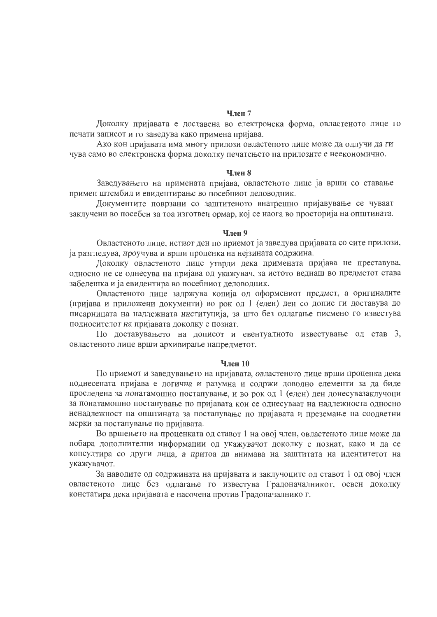#### **Член 7**

Доколку пријавата е доставена во електронска форма, овластеното лице го печати записот и го заведува како примена пријава.

Ако кон пријавата има многу прилози овластеното лице може да одлучи да ги чува само во електронска форма доколку печатењето на прилозите е неекономично.

### Член 8

Заведувањето на примената пријава, овластеното лице ја врши со ставање примен штембил и евидентирање во посебниот деловодник.

Документите поврзани со заштитеното внатрешно пријавување се чуваат заклучени во посебен за тоа изготвен ормар, кој се наога во просторија на општината.

# Член 9

Овластеното лице, истиот ден по приемот ја заведува пријавата со сите прилози, ја разгледува, проучува и врши проценка на нејзината содржина.

Доколку овластеното лице утврди дека примената пријава не преставува, односно не се однесува на пријава од укажувач, за истото веднаш во предметот става забелешка и ја евидентира во посебниот деловодник.

Овластеното лице задржува копија од оформениот предмет, а оригиналите (пријава и приложени документи) во рок од 1 (еден) ден со допис ги доставува до писарницата на надлежната институција, за што без одлагање писмено го известува подносителот на пријавата доколку е познат.

По доставувањето на дописот и евентуалното известување од став 3, овластеното лице врши архивирање напредметот.

### Член 10

По приемот и заведувањето на пријавата, овластеното лице врши проценка дека поднесената пријава е логична и разумна и содржи доволно елементи за да биде проследена за понатамошно постапување, и во рок од 1 (еден) ден донесувазаклучоци за понатамошно постапување по пријавата кои се однесуваат на надлежноста односно ненадлежност на општината за постапување по пријавата и преземање на соодветни мерки за постапување по пријавата.

Во вршењето на проценката од ставот 1 на овој член, овластеното лице може да побара дополнителни информации од укажувачот доколку е познат, како и да се консултира со други лица, а притоа да внимава на заштитата на идентитетот на укажувачот.

За наводите од содржината на пријавата и заклучоците од ставот 1 од овој член овластеното лице без одлагање го известува Градоначалникот, освен доколку констатира дека пријавата е насочена против Градоначалнико г.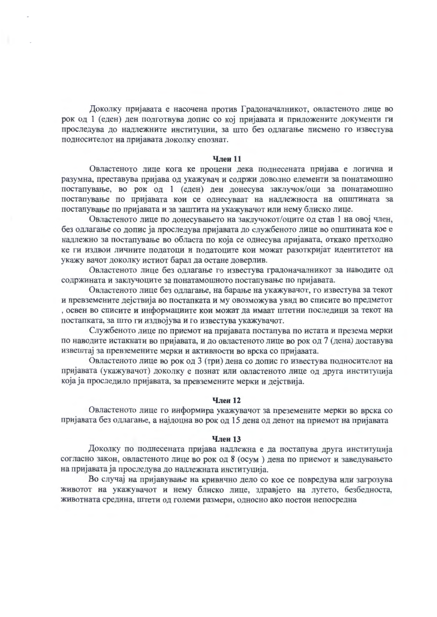Доколку пријавата е насочена против Градоначалникот, овластеното лице во рок од 1 (еден) ден подготвува допис со кој пријавата и приложените документи ги проследува до надлежните институции, за што без одлагање писмено го известува подносителот на пријавата доколку епознат.

#### Член 11

Овластеното лице кога ке процени дека поднесената пријава е логична и разумна, преставува пријава од укажувач и содржи доволно елементи за понатамошно постапување, во рок од 1 (еден) ден донесува заклучок/оци за понатамошно постапување по пријавата кои се однесуваат на надлежноста на општината за постапување по пријавата и за заштита на укажувачот или нему блиско лице.

Овластеното лице по донесувањето на заклучокот/оците од став 1 на овој член, без одлагање со допис ја проследува пријавата до службеното лице во општината кое е надлежно за постапување во областа по која се однесува пријавата, откако претходно ке ги издвои личните податоци и податоците кои можат разоткријат идентитетот на укажу вачот доколку истиот барал да остане доверлив.

Овластеното лице без одлагање го известува градоначалникот за наводите од содржината и заклучоците за понатамошното постапување по пријавата.

Овластеното лице без одлагање, на барање на укажувачот, го известува за текот и превземените дејствија во постапката и му овозможува увид во списите во предметот , освен во списите и информациите кои можат да имаат штетни последици за текот на постапката, за што ги издвојува и го известува укажувачот.

Службеното лице по приемот на пријавата постапува по истата и презема мерки по наводите истакнати во пријавата, и до овластеното лице во рок од 7 (дена) доставува извештај за превземените мерки и активности во врска со пријавата.

Овластеното лице во рок од 3 (три) дена со допис го известува подносителот на пријавата (укажувачот) доколку е познат или овластеното лице од друга институција која ја проследило пријавата, за превземените мерки и дејствија.

# Член 12

Овластеното лице го информира укажувачот за преземените мерки во врска со пријавата без одлагање, а најдоцна во рок од 15 дена од денот на приемот на пријавата

#### **Член 13**

Доколку по поднесената пријава надлежна е да постапува друга институција согласно закон, овластеното лице во рок од 8 (осум) дена по приемот и заведувањето на пријавата ја проследува до надлежната институција.

Во случај на пријавување на кривично дело со кое се повредува или загрозува животот на укажувачот и нему блиско лице, здравјето на лугето, безбедноста, животната средина, штети од големи размери, односно ако постои непосредна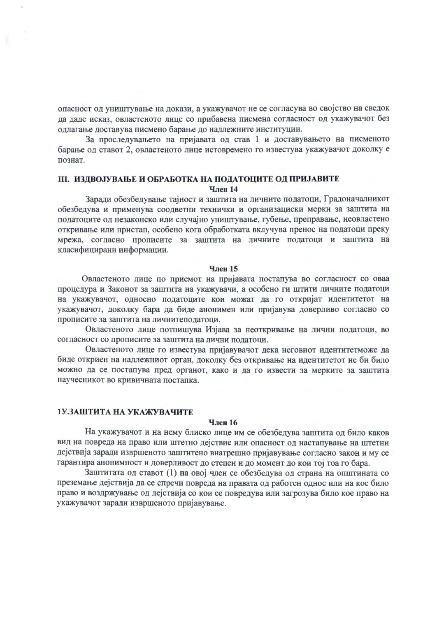опасност од уништување на докази, а укажувачот не се согласува во својство на сведок да даде исказ, овластеното лице со прибавена писмена согласност од укажувачот без одлагање доставува писмено барање до надлежните институции.

За проследувањето на пријавата од став 1 и доставувањето на писменото барање од ставот 2, овластеното лице истовремено го известува укажувачот доколку е познат.

# **III. ИЗДВОЈУВАЊЕ И ОБРАБОТКА НА ПОДАТОЦИТЕ ОД ПРИЈАВИТЕ Член 14**

Заради обезбедување тајност и заштита на личните податоци, Градоначалникот обезбедува и применува соодветни технички и организациски мерки за заштита на податоците од незаконско или случајно уништување, губење, преправање, неовластено откривање или пристап, особено кога обработката вклучува пренос на податоци преку мрежа, согласно прописите за заштита на личните податоци и заштита на класифицирани информации.

### **Член 15**

Овластеното лице по приемот на пријавата постапува во согласност со оваа процедура и Законот за заштита на укажувачи, а особено ги штити личните податоци на укажувачот, односно податоците кои можат да го откријат идентитетот на укажувачот, доколку бара да биде анонимен или пријавува доверливо согласно со прописите за заштита на личнитеподатоци.

Овластеното лице потпишува Изјава за неоткривање на лични податоци, во согласност со прописите за заштита на лични податоци.

Овластеното лице го известува пријавувачот дека неговиот идентитетможе да биде откриен на надлежниот орган, доколку без откривање на идентитетот не би било можно да се постапува пред органот, како и да го извести за мерките за заштита научесникот во кривичната постапка.

# 1У.ЗАШТИТА НА УКАЖУВАЧИТЕ

#### Член 16

На укажувачот и на нему блиско лице им се обезбедува заштита од било каков вид на повреда на право или штетно дејствие или опасност од настапување на штетни дејствија заради извршеното заштитено внатрешно пријавување согласно закон и му се гарантира анонимност и доверливост до степен и до момент до кои тој тоа го бара.

Заштитата од ставот (1) на овој член се обезбедува од страна на општината со преземање дејствија да се спречи повреда на правата од работен однос или на кое било право и воздржување од дејствија со кои се повредува или загрозува било кое право на укажувачот заради извршеното пријавување.